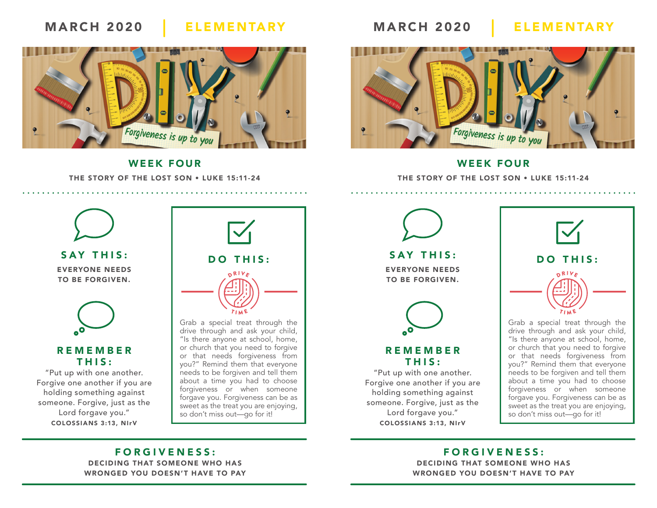# MARCH 2020 ELEMENTARY MARCH 2020 ELEMENTARY



WEEK FOUR THE STORY OF THE LOST SON • LUKE 15:11-24



#### WEEK FOUR

THE STORY OF THE LOST SON • LUKE 15:11-24



Forgive one another if you are holding something against someone. Forgive, just as the Lord forgave you." COLOSSIANS 3:13, NIrV



Grab a special treat through the drive through and ask your child, "Is there anyone at school, home, or church that you need to forgive or that needs forgiveness from you?" Remind them that everyone needs to be forgiven and tell them about a time you had to choose forgiveness or when someone forgave you. Forgiveness can be as sweet as the treat you are enjoying, so don't miss out—go for it!

SAY THIS: EVERYONE NEEDS TO BE FORGIVEN.



### REMEMBER THIS:

"Put up with one another. Forgive one another if you are holding something against someone. Forgive, just as the Lord forgave you." COLOSSIANS 3:13, NIrV



Grab a special treat through the drive through and ask your child, "Is there anyone at school, home, or church that you need to forgive or that needs forgiveness from you?" Remind them that everyone needs to be forgiven and tell them about a time you had to choose forgiveness or when someone forgave you. Forgiveness can be as sweet as the treat you are enjoying, so don't miss out—go for it!

## FORGIVENESS:

DECIDING THAT SOMEONE WHO HAS WRONGED YOU DOESN'T HAVE TO PAY

## FORGIVENESS:

DECIDING THAT SOMEONE WHO HAS WRONGED YOU DOESN'T HAVE TO PAY